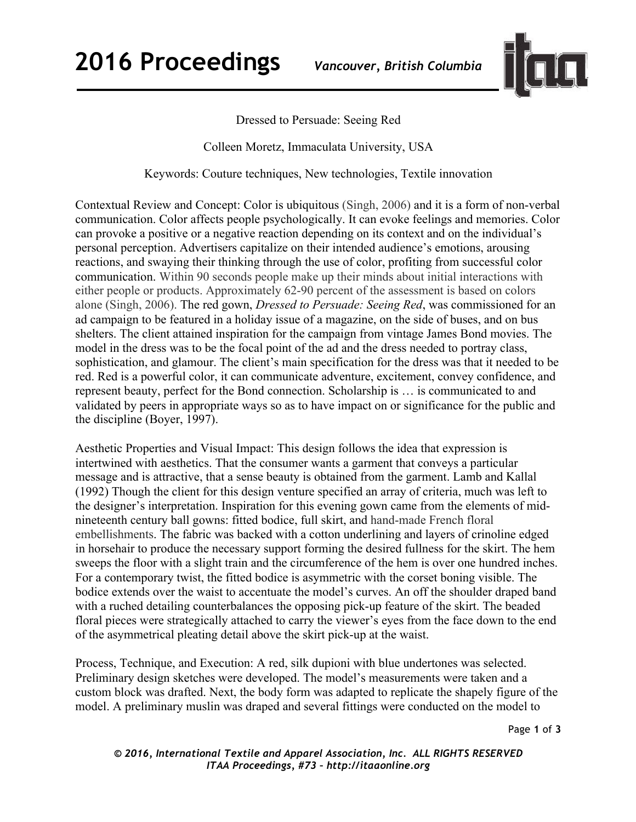

## Dressed to Persuade: Seeing Red

Colleen Moretz, Immaculata University, USA

Keywords: Couture techniques, New technologies, Textile innovation

Contextual Review and Concept: Color is ubiquitous (Singh, 2006) and it is a form of non-verbal communication. Color affects people psychologically. It can evoke feelings and memories. Color can provoke a positive or a negative reaction depending on its context and on the individual's personal perception. Advertisers capitalize on their intended audience's emotions, arousing reactions, and swaying their thinking through the use of color, profiting from successful color communication. Within 90 seconds people make up their minds about initial interactions with either people or products. Approximately 62-90 percent of the assessment is based on colors alone (Singh, 2006). The red gown, *Dressed to Persuade: Seeing Red*, was commissioned for an ad campaign to be featured in a holiday issue of a magazine, on the side of buses, and on bus shelters. The client attained inspiration for the campaign from vintage James Bond movies. The model in the dress was to be the focal point of the ad and the dress needed to portray class, sophistication, and glamour. The client's main specification for the dress was that it needed to be red. Red is a powerful color, it can communicate adventure, excitement, convey confidence, and represent beauty, perfect for the Bond connection. Scholarship is … is communicated to and validated by peers in appropriate ways so as to have impact on or significance for the public and the discipline (Boyer, 1997).

Aesthetic Properties and Visual Impact: This design follows the idea that expression is intertwined with aesthetics. That the consumer wants a garment that conveys a particular message and is attractive, that a sense beauty is obtained from the garment. Lamb and Kallal (1992) Though the client for this design venture specified an array of criteria, much was left to the designer's interpretation. Inspiration for this evening gown came from the elements of midnineteenth century ball gowns: fitted bodice, full skirt, and hand-made French floral embellishments. The fabric was backed with a cotton underlining and layers of crinoline edged in horsehair to produce the necessary support forming the desired fullness for the skirt. The hem sweeps the floor with a slight train and the circumference of the hem is over one hundred inches. For a contemporary twist, the fitted bodice is asymmetric with the corset boning visible. The bodice extends over the waist to accentuate the model's curves. An off the shoulder draped band with a ruched detailing counterbalances the opposing pick-up feature of the skirt. The beaded floral pieces were strategically attached to carry the viewer's eyes from the face down to the end of the asymmetrical pleating detail above the skirt pick-up at the waist.

Process, Technique, and Execution: A red, silk dupioni with blue undertones was selected. Preliminary design sketches were developed. The model's measurements were taken and a custom block was drafted. Next, the body form was adapted to replicate the shapely figure of the model. A preliminary muslin was draped and several fittings were conducted on the model to

*© 2016, International Textile and Apparel Association, Inc. ALL RIGHTS RESERVED ITAA Proceedings, #73 – http://itaaonline.org*